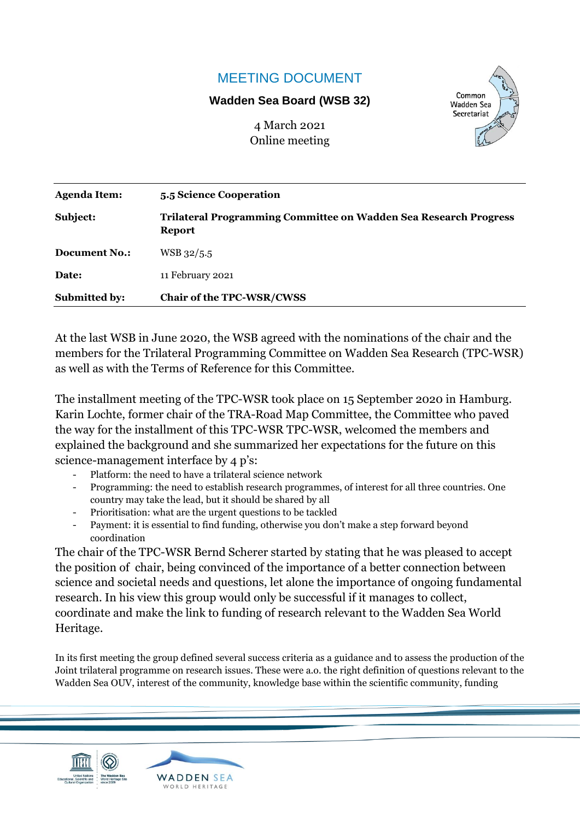## MEETING DOCUMENT

## **Wadden Sea Board (WSB 32)**

4 March 2021 Online meeting



| <b>Agenda Item:</b>  | 5.5 Science Cooperation                                                                  |  |
|----------------------|------------------------------------------------------------------------------------------|--|
| Subject:             | <b>Trilateral Programming Committee on Wadden Sea Research Progress</b><br><b>Report</b> |  |
| <b>Document No.:</b> | WSB 32/5.5                                                                               |  |
| Date:                | 11 February 2021                                                                         |  |
| <b>Submitted by:</b> | Chair of the TPC-WSR/CWSS                                                                |  |

At the last WSB in June 2020, the WSB agreed with the nominations of the chair and the members for the Trilateral Programming Committee on Wadden Sea Research (TPC-WSR) as well as with the Terms of Reference for this Committee.

The installment meeting of the TPC-WSR took place on 15 September 2020 in Hamburg. Karin Lochte, former chair of the TRA-Road Map Committee, the Committee who paved the way for the installment of this TPC-WSR TPC-WSR, welcomed the members and explained the background and she summarized her expectations for the future on this science-management interface by 4 p's:

- Platform: the need to have a trilateral science network
- Programming: the need to establish research programmes, of interest for all three countries. One country may take the lead, but it should be shared by all
- Prioritisation: what are the urgent questions to be tackled
- Payment: it is essential to find funding, otherwise you don't make a step forward beyond coordination

The chair of the TPC-WSR Bernd Scherer started by stating that he was pleased to accept the position of chair, being convinced of the importance of a better connection between science and societal needs and questions, let alone the importance of ongoing fundamental research. In his view this group would only be successful if it manages to collect, coordinate and make the link to funding of research relevant to the Wadden Sea World Heritage.

In its first meeting the group defined several success criteria as a guidance and to assess the production of the Joint trilateral programme on research issues. These were a.o. the right definition of questions relevant to the Wadden Sea OUV, interest of the community, knowledge base within the scientific community, funding



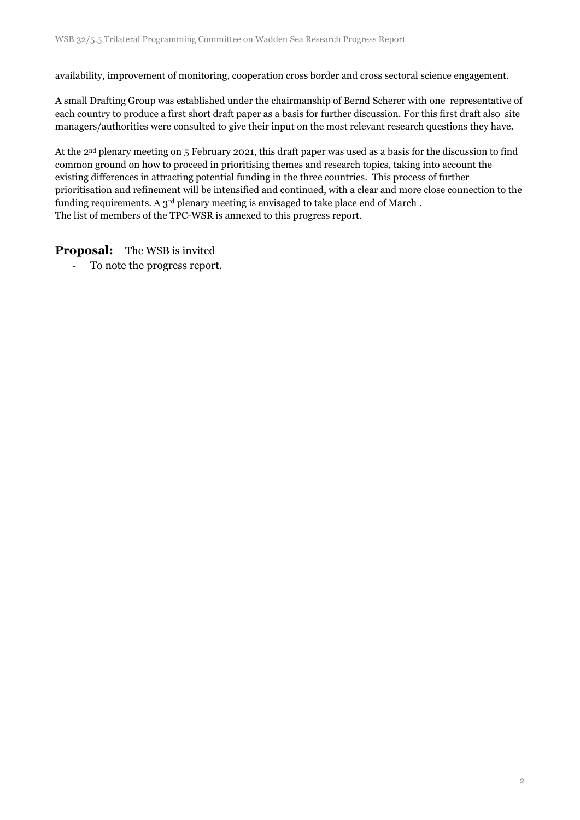availability, improvement of monitoring, cooperation cross border and cross sectoral science engagement.

A small Drafting Group was established under the chairmanship of Bernd Scherer with one representative of each country to produce a first short draft paper as a basis for further discussion. For this first draft also site managers/authorities were consulted to give their input on the most relevant research questions they have.

At the 2nd plenary meeting on 5 February 2021, this draft paper was used as a basis for the discussion to find common ground on how to proceed in prioritising themes and research topics, taking into account the existing differences in attracting potential funding in the three countries. This process of further prioritisation and refinement will be intensified and continued, with a clear and more close connection to the funding requirements. A  $3<sup>rd</sup>$  plenary meeting is envisaged to take place end of March. The list of members of the TPC-WSR is annexed to this progress report.

## **Proposal:** The WSB is invited

- To note the progress report.